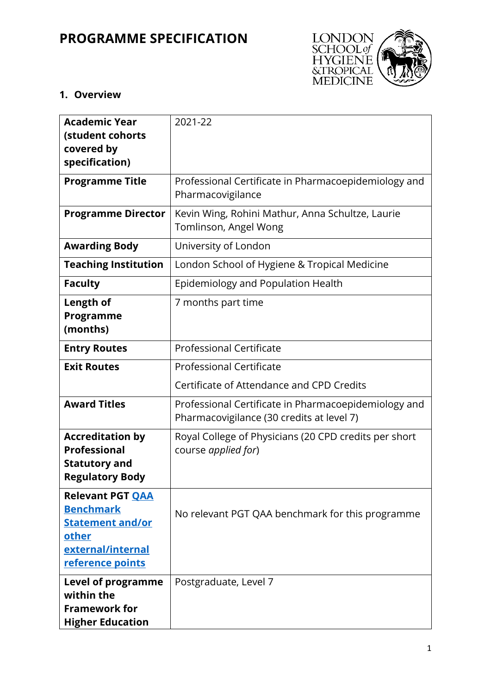# **PROGRAMME SPECIFICATION**



## **1. Overview**

| <b>Academic Year</b><br>(student cohorts<br>covered by<br>specification)                                                 | 2021-22                                                                                           |
|--------------------------------------------------------------------------------------------------------------------------|---------------------------------------------------------------------------------------------------|
| <b>Programme Title</b>                                                                                                   | Professional Certificate in Pharmacoepidemiology and<br>Pharmacovigilance                         |
| <b>Programme Director</b>                                                                                                | Kevin Wing, Rohini Mathur, Anna Schultze, Laurie<br>Tomlinson, Angel Wong                         |
| <b>Awarding Body</b>                                                                                                     | University of London                                                                              |
| <b>Teaching Institution</b>                                                                                              | London School of Hygiene & Tropical Medicine                                                      |
| <b>Faculty</b>                                                                                                           | Epidemiology and Population Health                                                                |
| Length of<br>Programme<br>(months)                                                                                       | 7 months part time                                                                                |
| <b>Entry Routes</b>                                                                                                      | <b>Professional Certificate</b>                                                                   |
| <b>Exit Routes</b>                                                                                                       | <b>Professional Certificate</b>                                                                   |
|                                                                                                                          | Certificate of Attendance and CPD Credits                                                         |
| <b>Award Titles</b>                                                                                                      | Professional Certificate in Pharmacoepidemiology and<br>Pharmacovigilance (30 credits at level 7) |
| <b>Accreditation by</b><br><b>Professional</b><br><b>Statutory and</b><br><b>Regulatory Body</b>                         | Royal College of Physicians (20 CPD credits per short<br>course applied for)                      |
| <b>Relevant PGT OAA</b><br><b>Benchmark</b><br><b>Statement and/or</b><br>other<br>external/internal<br>reference points | No relevant PGT QAA benchmark for this programme                                                  |
| Level of programme<br>within the<br><b>Framework for</b><br><b>Higher Education</b>                                      | Postgraduate, Level 7                                                                             |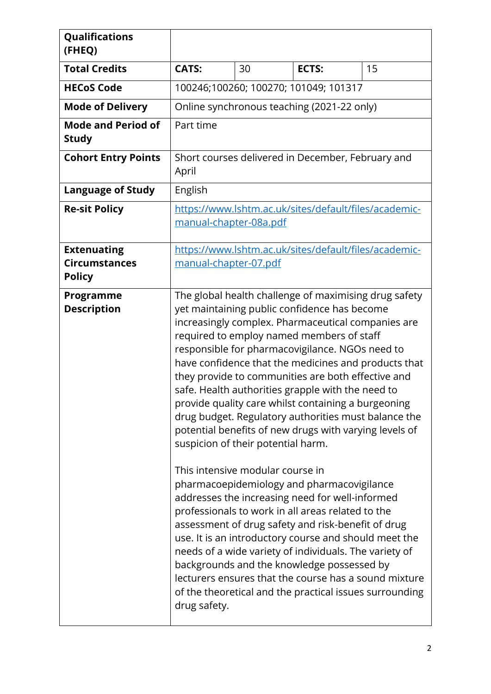| Qualifications                                              |                                                                                                                                                                                                                                                                                                                                                                                                                                                                                                                                                                                                                                                                                                                                                                                                                                                                                                                                                                                                                                                                                                                                                                                                    |    |       |    |
|-------------------------------------------------------------|----------------------------------------------------------------------------------------------------------------------------------------------------------------------------------------------------------------------------------------------------------------------------------------------------------------------------------------------------------------------------------------------------------------------------------------------------------------------------------------------------------------------------------------------------------------------------------------------------------------------------------------------------------------------------------------------------------------------------------------------------------------------------------------------------------------------------------------------------------------------------------------------------------------------------------------------------------------------------------------------------------------------------------------------------------------------------------------------------------------------------------------------------------------------------------------------------|----|-------|----|
| (FHEQ)                                                      |                                                                                                                                                                                                                                                                                                                                                                                                                                                                                                                                                                                                                                                                                                                                                                                                                                                                                                                                                                                                                                                                                                                                                                                                    |    |       |    |
| <b>Total Credits</b>                                        | <b>CATS:</b>                                                                                                                                                                                                                                                                                                                                                                                                                                                                                                                                                                                                                                                                                                                                                                                                                                                                                                                                                                                                                                                                                                                                                                                       | 30 | ECTS: | 15 |
| <b>HECoS Code</b>                                           | 100246;100260; 100270; 101049; 101317                                                                                                                                                                                                                                                                                                                                                                                                                                                                                                                                                                                                                                                                                                                                                                                                                                                                                                                                                                                                                                                                                                                                                              |    |       |    |
| <b>Mode of Delivery</b>                                     | Online synchronous teaching (2021-22 only)                                                                                                                                                                                                                                                                                                                                                                                                                                                                                                                                                                                                                                                                                                                                                                                                                                                                                                                                                                                                                                                                                                                                                         |    |       |    |
| <b>Mode and Period of</b><br><b>Study</b>                   | Part time                                                                                                                                                                                                                                                                                                                                                                                                                                                                                                                                                                                                                                                                                                                                                                                                                                                                                                                                                                                                                                                                                                                                                                                          |    |       |    |
| <b>Cohort Entry Points</b>                                  | Short courses delivered in December, February and<br>April                                                                                                                                                                                                                                                                                                                                                                                                                                                                                                                                                                                                                                                                                                                                                                                                                                                                                                                                                                                                                                                                                                                                         |    |       |    |
| <b>Language of Study</b>                                    | English                                                                                                                                                                                                                                                                                                                                                                                                                                                                                                                                                                                                                                                                                                                                                                                                                                                                                                                                                                                                                                                                                                                                                                                            |    |       |    |
| <b>Re-sit Policy</b>                                        | https://www.lshtm.ac.uk/sites/default/files/academic-<br>manual-chapter-08a.pdf                                                                                                                                                                                                                                                                                                                                                                                                                                                                                                                                                                                                                                                                                                                                                                                                                                                                                                                                                                                                                                                                                                                    |    |       |    |
| <b>Extenuating</b><br><b>Circumstances</b><br><b>Policy</b> | https://www.lshtm.ac.uk/sites/default/files/academic-<br>manual-chapter-07.pdf                                                                                                                                                                                                                                                                                                                                                                                                                                                                                                                                                                                                                                                                                                                                                                                                                                                                                                                                                                                                                                                                                                                     |    |       |    |
| Programme<br><b>Description</b>                             | The global health challenge of maximising drug safety<br>yet maintaining public confidence has become<br>increasingly complex. Pharmaceutical companies are<br>required to employ named members of staff<br>responsible for pharmacovigilance. NGOs need to<br>have confidence that the medicines and products that<br>they provide to communities are both effective and<br>safe. Health authorities grapple with the need to<br>provide quality care whilst containing a burgeoning<br>drug budget. Regulatory authorities must balance the<br>potential benefits of new drugs with varying levels of<br>suspicion of their potential harm.<br>This intensive modular course in<br>pharmacoepidemiology and pharmacovigilance<br>addresses the increasing need for well-informed<br>professionals to work in all areas related to the<br>assessment of drug safety and risk-benefit of drug<br>use. It is an introductory course and should meet the<br>needs of a wide variety of individuals. The variety of<br>backgrounds and the knowledge possessed by<br>lecturers ensures that the course has a sound mixture<br>of the theoretical and the practical issues surrounding<br>drug safety. |    |       |    |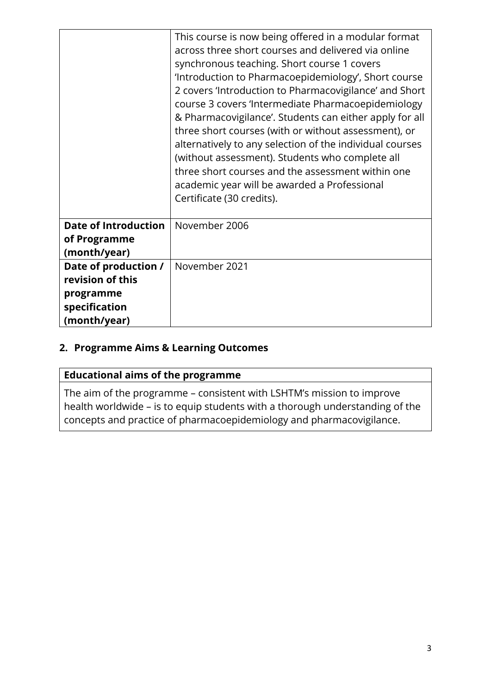|                                                                                        | This course is now being offered in a modular format<br>across three short courses and delivered via online<br>synchronous teaching. Short course 1 covers<br>'Introduction to Pharmacoepidemiology', Short course<br>2 covers 'Introduction to Pharmacovigilance' and Short<br>course 3 covers 'Intermediate Pharmacoepidemiology<br>& Pharmacovigilance'. Students can either apply for all<br>three short courses (with or without assessment), or<br>alternatively to any selection of the individual courses<br>(without assessment). Students who complete all<br>three short courses and the assessment within one<br>academic year will be awarded a Professional<br>Certificate (30 credits). |
|----------------------------------------------------------------------------------------|--------------------------------------------------------------------------------------------------------------------------------------------------------------------------------------------------------------------------------------------------------------------------------------------------------------------------------------------------------------------------------------------------------------------------------------------------------------------------------------------------------------------------------------------------------------------------------------------------------------------------------------------------------------------------------------------------------|
| <b>Date of Introduction</b><br>of Programme<br>(month/year)                            | November 2006                                                                                                                                                                                                                                                                                                                                                                                                                                                                                                                                                                                                                                                                                          |
| Date of production /<br>revision of this<br>programme<br>specification<br>(month/year) | November 2021                                                                                                                                                                                                                                                                                                                                                                                                                                                                                                                                                                                                                                                                                          |

## **2. Programme Aims & Learning Outcomes**

# **Educational aims of the programme**

The aim of the programme – consistent with LSHTM's mission to improve health worldwide – is to equip students with a thorough understanding of the concepts and practice of pharmacoepidemiology and pharmacovigilance.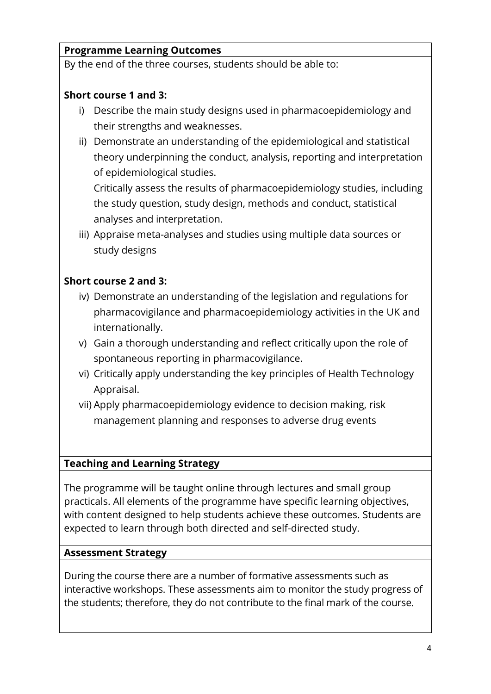# **Programme Learning Outcomes**

By the end of the three courses, students should be able to:

# **Short course 1 and 3:**

- i) Describe the main study designs used in pharmacoepidemiology and their strengths and weaknesses.
- ii) Demonstrate an understanding of the epidemiological and statistical theory underpinning the conduct, analysis, reporting and interpretation of epidemiological studies.

Critically assess the results of pharmacoepidemiology studies, including the study question, study design, methods and conduct, statistical analyses and interpretation.

iii) Appraise meta-analyses and studies using multiple data sources or study designs

## **Short course 2 and 3:**

- iv) Demonstrate an understanding of the legislation and regulations for pharmacovigilance and pharmacoepidemiology activities in the UK and internationally.
- v) Gain a thorough understanding and reflect critically upon the role of spontaneous reporting in pharmacovigilance.
- vi) Critically apply understanding the key principles of Health Technology Appraisal.
- vii) Apply pharmacoepidemiology evidence to decision making, risk management planning and responses to adverse drug events

#### **Teaching and Learning Strategy**

The programme will be taught online through lectures and small group practicals. All elements of the programme have specific learning objectives, with content designed to help students achieve these outcomes. Students are expected to learn through both directed and self-directed study.

#### **Assessment Strategy**

During the course there are a number of formative assessments such as interactive workshops. These assessments aim to monitor the study progress of the students; therefore, they do not contribute to the final mark of the course.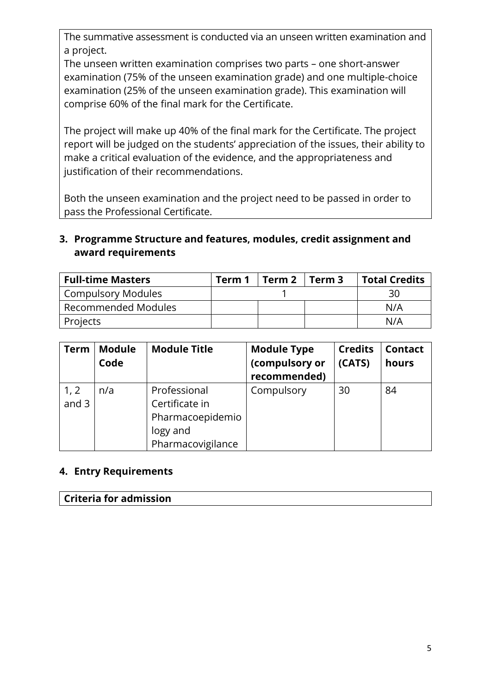The summative assessment is conducted via an unseen written examination and a project.

The unseen written examination comprises two parts – one short-answer examination (75% of the unseen examination grade) and one multiple-choice examination (25% of the unseen examination grade). This examination will comprise 60% of the final mark for the Certificate.

The project will make up 40% of the final mark for the Certificate. The project report will be judged on the students' appreciation of the issues, their ability to make a critical evaluation of the evidence, and the appropriateness and justification of their recommendations.

Both the unseen examination and the project need to be passed in order to pass the Professional Certificate.

# **3. Programme Structure and features, modules, credit assignment and award requirements**

| <b>Full-time Masters</b> | Term 1 | Term 2 | Term 3 | <b>Total Credits</b> |
|--------------------------|--------|--------|--------|----------------------|
| Compulsory Modules       |        |        |        | 30                   |
| Recommended Modules      |        |        |        | N/A                  |
| Projects                 |        |        |        | N/A                  |

| <b>Term</b>     | <b>Module</b><br>Code | <b>Module Title</b>                                                                 | <b>Module Type</b><br>(compulsory or<br>recommended) | <b>Credits</b><br>(CATS) | <b>Contact</b><br>hours |
|-----------------|-----------------------|-------------------------------------------------------------------------------------|------------------------------------------------------|--------------------------|-------------------------|
| 1, 2<br>and $3$ | n/a                   | Professional<br>Certificate in<br>Pharmacoepidemio<br>logy and<br>Pharmacovigilance | Compulsory                                           | 30                       | 84                      |

## **4. Entry Requirements**

#### **Criteria for admission**